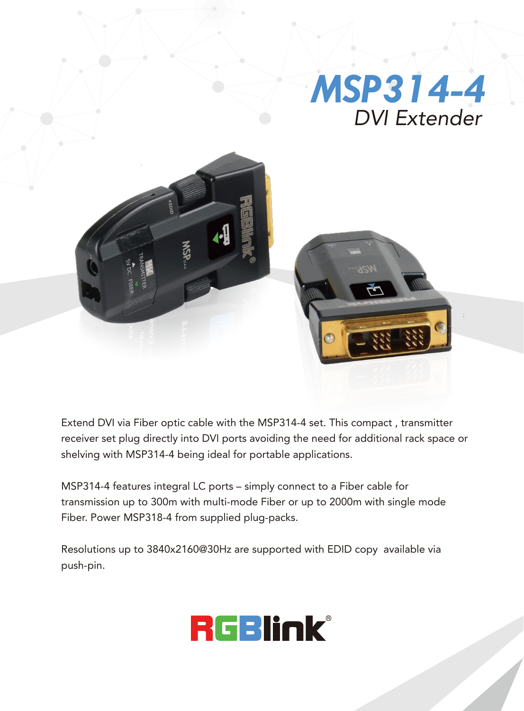

Extend DVI via Fiber optic cable with the MSP314-4 set. This compact , transmitter receiver set plug directly into DVI ports avoiding the need for additional rack space or shelving with MSP314-4 being ideal for portable applications.

MSP314-4 features integral LC ports – simply connect to a Fiber cable for transmission up to 300m with multi-mode Fiber or up to 2000m with single mode Fiber. Power MSP318-4 from supplied plug-packs.

Resolutions up to 3840x2160@30Hz are supported with EDID copy available via push-pin.